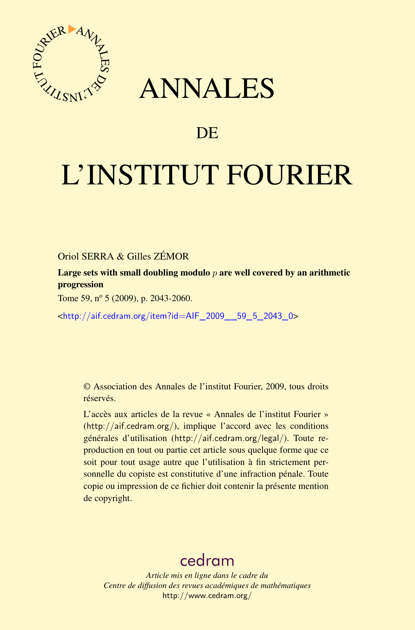

## ANNALES

## **DE**

# L'INSTITUT FOURIER

Oriol SERRA & Gilles ZÉMOR

Large sets with small doubling modulo *p* are well covered by an arithmetic progression

Tome 59,  $n^{\circ}$  5 (2009), p. 2043-2060.

 $\text{chttp:}/\text{air.cedram.org/item?id=AlF}$  2009 59 5 2043 0>

© Association des Annales de l'institut Fourier, 2009, tous droits réservés.

L'accès aux articles de la revue « Annales de l'institut Fourier » (<http://aif.cedram.org/>), implique l'accord avec les conditions générales d'utilisation (<http://aif.cedram.org/legal/>). Toute reproduction en tout ou partie cet article sous quelque forme que ce soit pour tout usage autre que l'utilisation à fin strictement personnelle du copiste est constitutive d'une infraction pénale. Toute copie ou impression de ce fichier doit contenir la présente mention de copyright.

## [cedram](http://www.cedram.org/)

*Article mis en ligne dans le cadre du Centre de diffusion des revues académiques de mathématiques* <http://www.cedram.org/>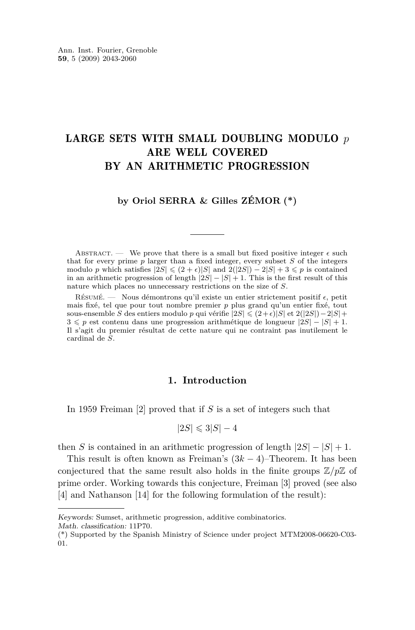### <span id="page-1-0"></span>LARGE SETS WITH SMALL DOUBLING MODULO *p* ARE WELL COVERED BY AN ARITHMETIC PROGRESSION

#### **by Oriol SERRA & Gilles ZÉMOR (\*)**

ABSTRACT. — We prove that there is a small but fixed positive integer  $\epsilon$  such that for every prime  $p$  larger than a fixed integer, every subset  $S$  of the integers modulo *p* which satisfies  $|\overline{2S}| \leq (2 + \epsilon)|S|$  and  $\overline{2}(|\overline{2S}|) - 2|S| + 3 \leq p$  is contained in an arithmetic progression of length  $|2S| - |S| + 1$ . This is the first result of this nature which places no unnecessary restrictions on the size of *S*.

RÉSUMÉ. — Nous démontrons qu'il existe un entier strictement positif  $\epsilon$ , petit mais fixé, tel que pour tout nombre premier *p* plus grand qu'un entier fixé, tout sous-ensemble *S* des entiers modulo *p* qui vérifie  $|2S| \leq (2+\epsilon)|S|$  et  $2(|2S|)-2|S|+$ 3 6 *p* est contenu dans une progression arithmétique de longueur *|*2*S| − |S|* + 1. Il s'agit du premier résultat de cette nature qui ne contraint pas inutilement le cardinal de *S*.

#### **1. Introduction**

In 1959 Freiman [\[2\]](#page-17-0) proved that if *S* is a set of integers such that

$$
|2S| \leqslant 3|S| - 4
$$

then *S* is contained in an arithmetic progression of length  $|2S| - |S| + 1$ .

This result is often known as Freiman's (3*k −* 4)–Theorem. It has been conjectured that the same result also holds in the finite groups  $\mathbb{Z}/p\mathbb{Z}$  of prime order. Working towards this conjecture, Freiman [\[3\]](#page-17-0) proved (see also [\[4\]](#page-17-0) and Nathanson [\[14\]](#page-18-0) for the following formulation of the result):

Keywords: Sumset, arithmetic progression, additive combinatorics.

Math. classification: 11P70.

<sup>(\*)</sup> Supported by the Spanish Ministry of Science under project MTM2008-06620-C03- 01.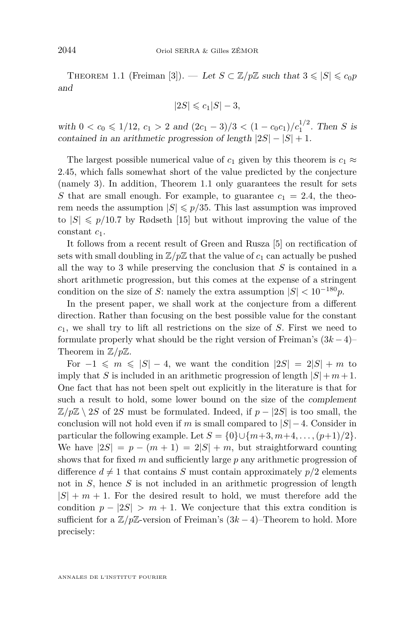<span id="page-2-0"></span>THEOREM 1.1 (Freiman [\[3\]](#page-17-0)). — Let  $S \subset \mathbb{Z}/p\mathbb{Z}$  such that  $3 \leq |S| \leq c_0 p$ and

$$
|2S| \leqslant c_1 |S| - 3,
$$

with  $0 < c_0 \leq 1/12$ ,  $c_1 > 2$  and  $(2c_1 - 3)/3 < (1 - c_0 c_1)/c_1^{1/2}$ . Then *S* is contained in an arithmetic progression of length  $|2S| - |S| + 1$ .

The largest possible numerical value of  $c_1$  given by this theorem is  $c_1 \approx$ 2*.*45, which falls somewhat short of the value predicted by the conjecture (namely 3). In addition, Theorem [1.1](#page-1-0) only guarantees the result for sets *S* that are small enough. For example, to guarantee  $c_1 = 2.4$ , the theorem needs the assumption  $|S| \leq p/35$ . This last assumption was improved to  $|S| \leq p/10.7$  by Rødseth [\[15\]](#page-18-0) but without improving the value of the constant *c*1.

It follows from a recent result of Green and Rusza [\[5\]](#page-17-0) on rectification of sets with small doubling in  $\mathbb{Z}/p\mathbb{Z}$  that the value of  $c_1$  can actually be pushed all the way to 3 while preserving the conclusion that *S* is contained in a short arithmetic progression, but this comes at the expense of a stringent condition on the size of *S*: namely the extra assumption  $|S| < 10^{-180}p$ .

In the present paper, we shall work at the conjecture from a different direction. Rather than focusing on the best possible value for the constant *c*1, we shall try to lift all restrictions on the size of *S*. First we need to formulate properly what should be the right version of Freiman's (3*k −* 4)– Theorem in Z*/p*Z.

For  $-1 \leq m \leq |S| - 4$ , we want the condition  $|2S| = 2|S| + m$  to imply that *S* is included in an arithmetic progression of length  $|S| + m + 1$ . One fact that has not been spelt out explicitly in the literature is that for such a result to hold, some lower bound on the size of the complement  $\mathbb{Z}/p\mathbb{Z} \setminus 2S$  of 2*S* must be formulated. Indeed, if  $p - |2S|$  is too small, the conclusion will not hold even if *m* is small compared to  $|S|$  – 4. Consider in particular the following example. Let  $S = \{0\} \cup \{m+3, m+4, \ldots, (p+1)/2\}$ . We have  $|2S| = p - (m + 1) = 2|S| + m$ , but straightforward counting shows that for fixed *m* and sufficiently large *p* any arithmetic progression of difference  $d \neq 1$  that contains *S* must contain approximately  $p/2$  elements not in *S*, hence *S* is not included in an arithmetic progression of length  $|S| + m + 1$ . For the desired result to hold, we must therefore add the condition  $p - |2S| > m + 1$ . We conjecture that this extra condition is sufficient for a  $\mathbb{Z}/p\mathbb{Z}$ -version of Freiman's  $(3k-4)$ –Theorem to hold. More precisely: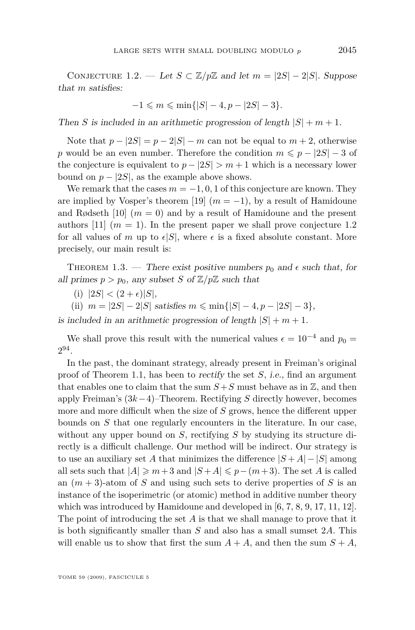<span id="page-3-0"></span>CONJECTURE 1.2. — Let  $S \subset \mathbb{Z}/p\mathbb{Z}$  and let  $m = |2S| - 2|S|$ . Suppose that *m* satisfies:

$$
-1 \leq m \leq \min\{|S| - 4, p - |2S| - 3\}.
$$

Then *S* is included in an arithmetic progression of length  $|S| + m + 1$ .

Note that  $p - |2S| = p - 2|S| - m$  can not be equal to  $m + 2$ , otherwise *p* would be an even number. Therefore the condition  $m \leq p - |2S| - 3$  of the conjecture is equivalent to  $p - |2S| > m + 1$  which is a necessary lower bound on  $p - |2S|$ , as the example above shows.

We remark that the cases  $m = -1, 0, 1$  of this conjecture are known. They are implied by Vosper's theorem [\[19\]](#page-18-0)  $(m = -1)$ , by a result of Hamidoune and Rødseth  $[10]$   $(m = 0)$  and by a result of Hamidoune and the present authors [\[11\]](#page-17-0)  $(m = 1)$ . In the present paper we shall prove conjecture [1.2](#page-2-0) for all values of *m* up to  $\epsilon|S|$ , where  $\epsilon$  is a fixed absolute constant. More precisely, our main result is:

THEOREM 1.3. — There exist positive numbers  $p_0$  and  $\epsilon$  such that, for all primes  $p > p_0$ , any subset *S* of  $\mathbb{Z}/p\mathbb{Z}$  such that

- (i)  $|2S| < (2 + \epsilon)|S|$ ,
- (ii)  $m = |2S| 2|S|$  satisfies  $m \leq \min\{|S| 4, p |2S| 3\}$ ,

is included in an arithmetic progression of length  $|S| + m + 1$ .

We shall prove this result with the numerical values  $\epsilon = 10^{-4}$  and  $p_0 =$ 2 94 .

In the past, the dominant strategy, already present in Freiman's original proof of Theorem [1.1,](#page-1-0) has been to rectify the set *S*, i.e., find an argument that enables one to claim that the sum  $S + S$  must behave as in  $\mathbb{Z}$ , and then apply Freiman's (3*k−*4)–Theorem. Rectifying *S* directly however, becomes more and more difficult when the size of *S* grows, hence the different upper bounds on *S* that one regularly encounters in the literature. In our case, without any upper bound on *S*, rectifying *S* by studying its structure directly is a difficult challenge. Our method will be indirect. Our strategy is to use an auxiliary set *A* that minimizes the difference  $|S + A| - |S|$  among all sets such that  $|A| \geq m+3$  and  $|S+A| \leq p-(m+3)$ . The set *A* is called an  $(m+3)$ -atom of *S* and using such sets to derive properties of *S* is an instance of the isoperimetric (or atomic) method in additive number theory which was introduced by Hamidoune and developed in [\[6,](#page-17-0) [7,](#page-17-0) [8,](#page-17-0) [9,](#page-17-0) [17,](#page-18-0) [11,](#page-17-0) [12\]](#page-17-0). The point of introducing the set *A* is that we shall manage to prove that it is both significantly smaller than *S* and also has a small sumset 2*A*. This will enable us to show that first the sum  $A + A$ , and then the sum  $S + A$ ,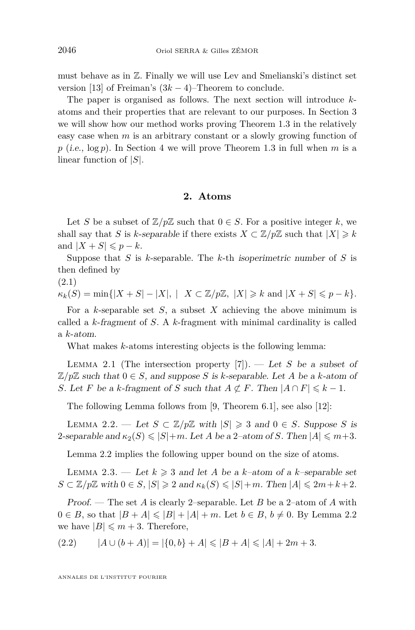<span id="page-4-0"></span>must behave as in Z. Finally we will use Lev and Smelianski's distinct set version [\[13\]](#page-18-0) of Freiman's (3*k −* 4)–Theorem to conclude.

The paper is organised as follows. The next section will introduce *k*atoms and their properties that are relevant to our purposes. In Section [3](#page-5-0) we will show how our method works proving Theorem [1.3](#page-3-0) in the relatively easy case when *m* is an arbitrary constant or a slowly growing function of  $p$  (i.e.,  $\log p$ ). In Section [4](#page-7-0) we will prove Theorem [1.3](#page-3-0) in full when *m* is a linear function of *|S|*.

#### **2. Atoms**

Let *S* be a subset of  $\mathbb{Z}/p\mathbb{Z}$  such that  $0 \in S$ . For a positive integer *k*, we shall say that *S* is *k*-separable if there exists  $X \subset \mathbb{Z}/p\mathbb{Z}$  such that  $|X| \geq k$ and  $|X + S| \leqslant p - k$ .

Suppose that *S* is *k*-separable. The *k*-th isoperimetric number of *S* is then defined by

(2.1)

 $\kappa_k(S) = \min\{|X+S| - |X|, |X \subset \mathbb{Z}/p\mathbb{Z}, |X| \geq k \text{ and } |X+S| \leq p-k\}.$ 

For a *k*-separable set *S*, a subset *X* achieving the above minimum is called a *k*-fragment of *S*. A *k*-fragment with minimal cardinality is called a *k*-atom.

What makes *k*-atoms interesting objects is the following lemma:

LEMMA 2.1 (The intersection property  $[7]$ ). — Let *S* be a subset of  $\mathbb{Z}/p\mathbb{Z}$  such that  $0 \in S$ , and suppose *S* is *k*-separable. Let *A* be a *k*-atom of *S*. Let *F* be a *k*-fragment of *S* such that  $A \not\subset F$ . Then  $|A \cap F| \leq k - 1$ .

The following Lemma follows from [\[9,](#page-17-0) Theorem 6.1], see also [\[12\]](#page-17-0):

LEMMA 2.2. — Let *S* ⊂  $\mathbb{Z}/p\mathbb{Z}$  with  $|S|$  ≥ 3 and 0 ∈ *S*. Suppose *S* is 2-separable and  $\kappa_2(S) \le |S| + m$ . Let *A* be a 2-atom of *S*. Then  $|A| \le m+3$ .

Lemma 2.2 implies the following upper bound on the size of atoms.

LEMMA 2.3. — Let  $k \geq 3$  and let A be a *k*-atom of a *k*-separable set  $S \subset \mathbb{Z}/p\mathbb{Z}$  with  $0 \in S$ ,  $|S| \geq 2$  and  $\kappa_k(S) \leq |S| + m$ . Then  $|A| \leq 2m + k + 2$ .

Proof. — The set *A* is clearly 2–separable. Let *B* be a 2–atom of *A* with 0 ∈ *B*, so that  $|B + A| ≤ |B| + |A| + m$ . Let  $b ∈ B$ ,  $b ≠ 0$ . By Lemma 2.2 we have  $|B| \leq m+3$ . Therefore,

$$
(2.2) \qquad |A \cup (b + A)| = |\{0, b\} + A| \leq |B + A| \leq |A| + 2m + 3.
$$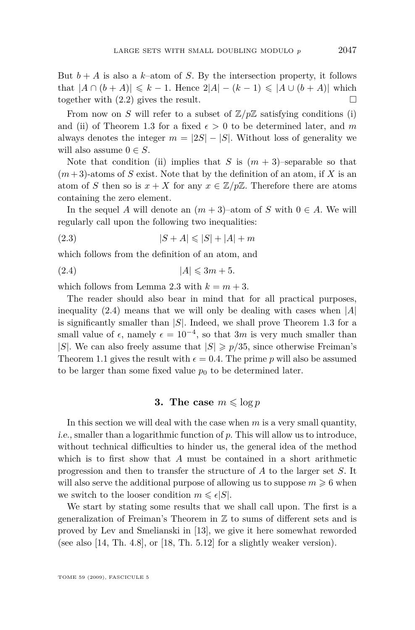<span id="page-5-0"></span>But  $b + A$  is also a  $k$ –atom of *S*. By the intersection property, it follows that  $|A \cap (b + A)| \leq k - 1$ . Hence  $2|A| - (k - 1) \leq |A \cup (b + A)|$  which together with  $(2.2)$  gives the result.

From now on *S* will refer to a subset of  $\mathbb{Z}/p\mathbb{Z}$  satisfying conditions (i) and (ii) of Theorem [1.3](#page-3-0) for a fixed  $\epsilon > 0$  to be determined later, and m always denotes the integer  $m = |2S| - |S|$ . Without loss of generality we will also assume  $0 \in S$ .

Note that condition (ii) implies that *S* is  $(m+3)$ –separable so that  $(m+3)$ -atoms of *S* exist. Note that by the definition of an atom, if *X* is an atom of *S* then so is  $x + X$  for any  $x \in \mathbb{Z}/p\mathbb{Z}$ . Therefore there are atoms containing the zero element.

In the sequel *A* will denote an  $(m+3)$ –atom of *S* with  $0 \in A$ . We will regularly call upon the following two inequalities:

(2.3) 
$$
|S + A| \leq |S| + |A| + m
$$

which follows from the definition of an atom, and

$$
(2.4) \t\t |A| \leq 3m + 5.
$$

which follows from Lemma [2.3](#page-4-0) with  $k = m + 3$ .

The reader should also bear in mind that for all practical purposes, inequality (2.4) means that we will only be dealing with cases when *|A|* is significantly smaller than *|S|*. Indeed, we shall prove Theorem [1.3](#page-3-0) for a small value of  $\epsilon$ , namely  $\epsilon = 10^{-4}$ , so that 3*m* is very much smaller than *|S|*. We can also freely assume that  $|S| \geq p/35$ , since otherwise Freiman's Theorem [1.1](#page-1-0) gives the result with  $\epsilon = 0.4$ . The prime p will also be assumed to be larger than some fixed value  $p_0$  to be determined later.

#### **3.** The case  $m \leqslant \log p$

In this section we will deal with the case when *m* is a very small quantity, i.e., smaller than a logarithmic function of *p*. This will allow us to introduce, without technical difficulties to hinder us, the general idea of the method which is to first show that *A* must be contained in a short arithmetic progression and then to transfer the structure of *A* to the larger set *S*. It will also serve the additional purpose of allowing us to suppose  $m \geq 6$  when we switch to the looser condition  $m \leq \epsilon |S|$ .

We start by stating some results that we shall call upon. The first is a generalization of Freiman's Theorem in Z to sums of different sets and is proved by Lev and Smelianski in [\[13\]](#page-18-0), we give it here somewhat reworded (see also [\[14,](#page-18-0) Th. 4.8], or [\[18,](#page-18-0) Th. 5.12] for a slightly weaker version).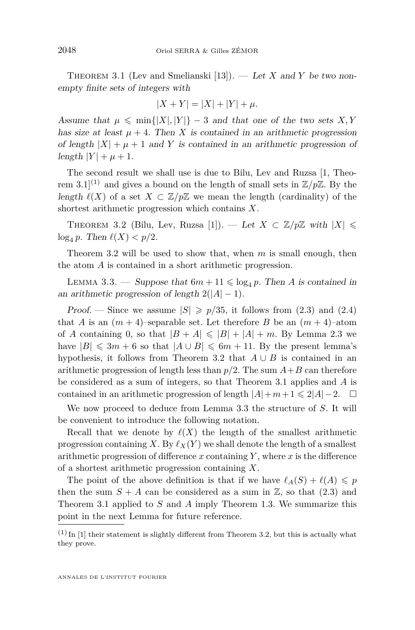<span id="page-6-0"></span>Theorem 3.1 (Lev and Smelianski [\[13\]](#page-18-0)). — Let *X* and *Y* be two nonempty finite sets of integers with

$$
|X + Y| = |X| + |Y| + \mu.
$$

Assume that  $\mu \leq \min\{|X|, |Y|\} - 3$  and that one of the two sets  $X, Y$ has size at least  $\mu + 4$ . Then *X* is contained in an arithmetic progression of length  $|X| + \mu + 1$  and *Y* is contained in an arithmetic progression of length  $|Y| + \mu + 1$ .

The second result we shall use is due to Bilu, Lev and Ruzsa [\[1,](#page-17-0) Theorem 3.1<sup>(1)</sup> and gives a bound on the length of small sets in  $\mathbb{Z}/p\mathbb{Z}$ . By the length  $\ell(X)$  of a set  $X \subset \mathbb{Z}/p\mathbb{Z}$  we mean the length (cardinality) of the shortest arithmetic progression which contains *X*.

THEOREM 3.2 (Bilu, Lev, Ruzsa [\[1\]](#page-17-0)). — Let  $X \subset \mathbb{Z}/p\mathbb{Z}$  with  $|X| \leq$  $\log_4 p$ . Then  $\ell(X) < p/2$ .

Theorem 3.2 will be used to show that, when *m* is small enough, then the atom *A* is contained in a short arithmetic progression.

LEMMA 3.3. — Suppose that  $6m + 11 \leq \log_4 p$ . Then *A* is contained in an arithmetic progression of length  $2(|A| - 1)$ .

Proof. — Since we assume  $|S| \geq p/35$ , it follows from [\(2.3\)](#page-5-0) and [\(2.4\)](#page-5-0) that *A* is an  $(m+4)$ –separable set. Let therefore *B* be an  $(m+4)$ –atom of *A* containing 0, so that  $|B + A| \leq |B| + |A| + m$ . By Lemma [2.3](#page-4-0) we have  $|B| \leq 3m + 6$  so that  $|A \cup B| \leq 6m + 11$ . By the present lemma's hypothesis, it follows from Theorem 3.2 that  $A \cup B$  is contained in an arithmetic progression of length less than  $p/2$ . The sum  $A+B$  can therefore be considered as a sum of integers, so that Theorem [3.1](#page-5-0) applies and *A* is contained in an arithmetic progression of length  $|A| + m + 1 \leq 2|A| - 2$ .  $\Box$ 

We now proceed to deduce from Lemma 3.3 the structure of *S*. It will be convenient to introduce the following notation.

Recall that we denote by  $\ell(X)$  the length of the smallest arithmetic progression containing *X*. By  $\ell_X(Y)$  we shall denote the length of a smallest arithmetic progression of difference *x* containing *Y* , where *x* is the difference of a shortest arithmetic progression containing *X*.

The point of the above definition is that if we have  $\ell_A(S) + \ell(A) \leqslant p$ then the sum  $S + A$  can be considered as a sum in  $\mathbb{Z}$ , so that [\(2.3\)](#page-5-0) and Theorem [3.1](#page-5-0) applied to *S* and *A* imply Theorem [1.3.](#page-3-0) We summarize this point in the next Lemma for future reference.

 $(1)$  In [\[1\]](#page-17-0) their statement is slightly different from Theorem 3.2, but this is actually what they prove.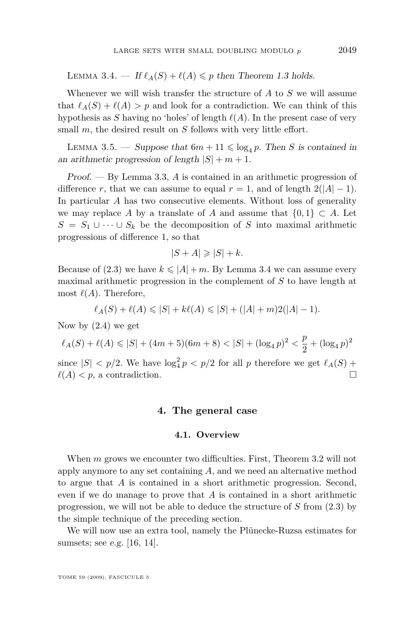<span id="page-7-0"></span>LEMMA 3.4. — If  $\ell_A(S) + \ell(A) \leqslant p$  then Theorem [1.3](#page-3-0) holds.

Whenever we will wish transfer the structure of *A* to *S* we will assume that  $\ell_A(S) + \ell(A) > p$  and look for a contradiction. We can think of this hypothesis as *S* having no 'holes' of length  $\ell(A)$ . In the present case of very small *m*, the desired result on *S* follows with very little effort.

LEMMA 3.5. — Suppose that  $6m + 11 \leq \log_4 p$ . Then *S* is contained in an arithmetic progression of length  $|S| + m + 1$ .

Proof. — By Lemma [3.3,](#page-6-0) *A* is contained in an arithmetic progression of difference *r*, that we can assume to equal  $r = 1$ , and of length  $2(|A| - 1)$ . In particular *A* has two consecutive elements. Without loss of generality we may replace *A* by a translate of *A* and assume that  $\{0,1\} \subset A$ . Let *S* =  $S_1$  *∪ · · · ∪*  $S_k$  be the decomposition of *S* into maximal arithmetic progressions of difference 1, so that

$$
|S + A| \geq |S| + k.
$$

Because of [\(2.3\)](#page-5-0) we have  $k \leq |A| + m$ . By Lemma [3.4](#page-6-0) we can assume every maximal arithmetic progression in the complement of *S* to have length at most  $\ell(A)$ . Therefore,

$$
\ell_A(S) + \ell(A) \leq |S| + k\ell(A) \leq |S| + (|A| + m)2(|A| - 1).
$$

Now by [\(2.4\)](#page-5-0) we get

$$
\ell_A(S) + \ell(A) \leqslant |S| + (4m+5)(6m+8) < |S| + (\log_4 p)^2 < \frac{p}{2} + (\log_4 p)^2
$$

since  $|S| < p/2$ . We have  $\log_4^2 p < p/2$  for all *p* therefore we get  $\ell_A(S)$  +  $\ell(A) < p$ , a contradiction.

#### **4. The general case**

#### **4.1. Overview**

When *m* grows we encounter two difficulties. First, Theorem [3.2](#page-6-0) will not apply anymore to any set containing *A*, and we need an alternative method to argue that *A* is contained in a short arithmetic progression. Second, even if we do manage to prove that *A* is contained in a short arithmetic progression, we will not be able to deduce the structure of *S* from [\(2.3\)](#page-5-0) by the simple technique of the preceding section.

We will now use an extra tool, namely the Plünecke-Ruzsa estimates for sumsets; see e.g. [\[16,](#page-18-0) [14\]](#page-18-0).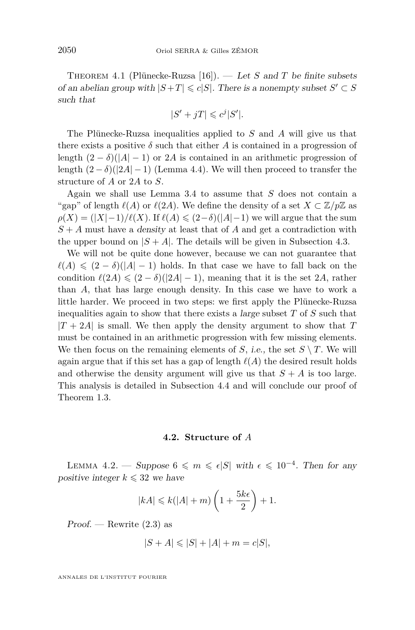<span id="page-8-0"></span>Theorem 4.1 (Plünecke-Ruzsa [\[16\]](#page-18-0)). — Let *S* and *T* be finite subsets of an abelian group with  $|S+T| \le c|S|$ . There is a nonempty subset  $S' \subset S$ such that

$$
|S' + jT| \leqslant c^j |S'|.
$$

The Plünecke-Ruzsa inequalities applied to *S* and *A* will give us that there exists a positive  $\delta$  such that either *A* is contained in a progression of length  $(2 - \delta)(|A| - 1)$  or 2*A* is contained in an arithmetic progression of length  $(2 - \delta)(|2A| - 1)$  (Lemma [4.4\)](#page-10-0). We will then proceed to transfer the structure of *A* or 2*A* to *S*.

Again we shall use Lemma [3.4](#page-6-0) to assume that *S* does not contain a "gap" of length  $\ell(A)$  or  $\ell(2A)$ . We define the density of a set  $X \subset \mathbb{Z}/p\mathbb{Z}$  as  $\rho(X) = (|X|-1)/\ell(X)$ . If  $\ell(A) \leq (2-\delta)(|A|-1)$  we will argue that the sum *S* + *A* must have a density at least that of *A* and get a contradiction with the upper bound on  $|S + A|$ . The details will be given in Subsection [4.3.](#page-11-0)

We will not be quite done however, because we can not guarantee that  $\ell(A) \leq (2 - \delta)(|A| - 1)$  holds. In that case we have to fall back on the condition  $\ell(2A) \leq (2 - \delta)(|2A| - 1)$ , meaning that it is the set 2*A*, rather than *A*, that has large enough density. In this case we have to work a little harder. We proceed in two steps: we first apply the Plünecke-Ruzsa inequalities again to show that there exists a large subset *T* of *S* such that  $|T + 2A|$  is small. We then apply the density argument to show that *T* must be contained in an arithmetic progression with few missing elements. We then focus on the remaining elements of *S*, i.e., the set  $S \setminus T$ . We will again argue that if this set has a gap of length  $\ell(A)$  the desired result holds and otherwise the density argument will give us that  $S + A$  is too large. This analysis is detailed in Subsection [4.4](#page-13-0) and will conclude our proof of Theorem [1.3.](#page-3-0)

#### **4.2. Structure of** *A*

LEMMA 4.2. — Suppose  $6 \le m \le \epsilon |S|$  with  $\epsilon \le 10^{-4}$ . Then for any positive integer  $k \leq 32$  we have

$$
|kA| \leq k(|A|+m)\left(1+\frac{5k\epsilon}{2}\right)+1.
$$

 $Proof.$  — Rewrite  $(2.3)$  as

$$
|S+A|\leqslant |S|+|A|+m=c|S|,
$$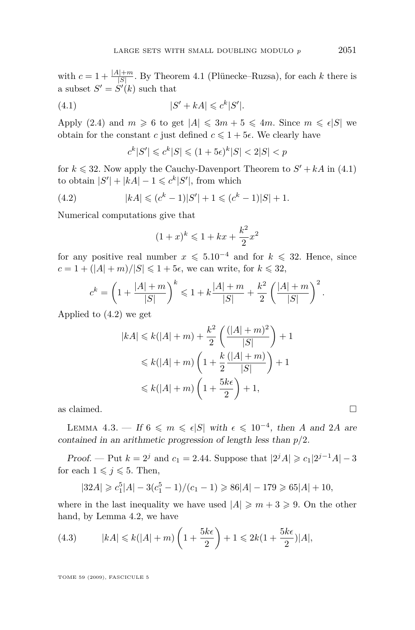<span id="page-9-0"></span>with  $c = 1 + \frac{|A| + m}{|S|}$ . By Theorem [4.1](#page-7-0) (Plünecke–Ruzsa), for each *k* there is a subset  $S' = S'(k)$  such that

$$
(4.1) \t\t |S' + kA| \leqslant c^k |S'|.
$$

Apply [\(2.4\)](#page-5-0) and  $m \ge 6$  to get  $|A| \le 3m + 5 \le 4m$ . Since  $m \le \epsilon |S|$  we obtain for the constant *c* just defined  $c \leq 1 + 5\epsilon$ . We clearly have

$$
c^k|S'| \leqslant c^k|S| \leqslant (1+5\epsilon)^k|S| < 2|S| < p
$$

for  $k \leq 32$ . Now apply the Cauchy-Davenport Theorem to  $S' + kA$  in (4.1) to obtain  $|S'| + |kA| - 1 \leqslant c^k |S'|$ , from which

(4.2) 
$$
|kA| \leqslant (c^k - 1)|S'| + 1 \leqslant (c^k - 1)|S| + 1.
$$

Numerical computations give that

$$
(1+x)^k \leq 1 + kx + \frac{k^2}{2}x^2
$$

for any positive real number  $x \le 5.10^{-4}$  and for  $k \le 32$ . Hence, since  $c = 1 + (|A| + m)/|S| \le 1 + 5\epsilon$ , we can write, for  $k \le 32$ ,

$$
c^{k} = \left(1 + \frac{|A| + m}{|S|}\right)^{k} \leq 1 + k\frac{|A| + m}{|S|} + \frac{k^{2}}{2}\left(\frac{|A| + m}{|S|}\right)^{2}.
$$

Applied to (4.2) we get

$$
|kA| \le k(|A| + m) + \frac{k^2}{2} \left( \frac{(|A| + m)^2}{|S|} \right) + 1
$$
  

$$
\le k(|A| + m) \left( 1 + \frac{k}{2} \frac{(|A| + m)}{|S|} \right) + 1
$$
  

$$
\le k(|A| + m) \left( 1 + \frac{5k\epsilon}{2} \right) + 1,
$$

as claimed.

LEMMA 4.3. — If  $6 \le m \le \epsilon |S|$  with  $\epsilon \le 10^{-4}$ , then *A* and 2*A* are contained in an arithmetic progression of length less than *p/*2.

Proof. — Put  $k = 2^j$  and  $c_1 = 2.44$ . Suppose that  $|2^j A| \geq c_1 |2^{j-1} A| - 3$ for each  $1 \leq j \leq 5$ . Then,

$$
|32A| \geq c_1^5|A| - 3(c_1^5 - 1)/(c_1 - 1) \geq 86|A| - 179 \geq 65|A| + 10,
$$

where in the last inequality we have used  $|A| \geq m+3 \geq 9$ . On the other hand, by Lemma [4.2,](#page-8-0) we have

(4.3) 
$$
|kA| \le k(|A|+m)\left(1+\frac{5k\epsilon}{2}\right)+1 \le 2k(1+\frac{5k\epsilon}{2})|A|,
$$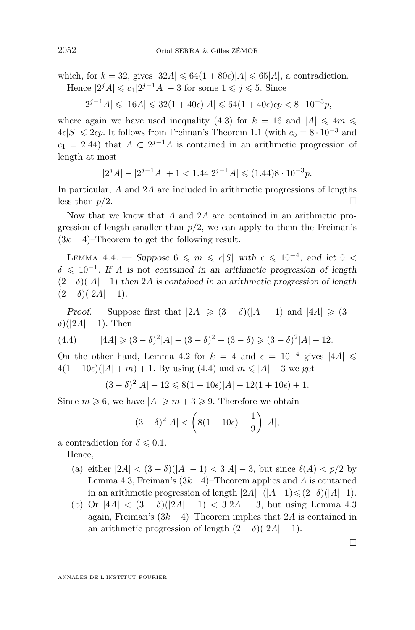<span id="page-10-0"></span>which, for  $k = 32$ , gives  $|32A| \le 64(1+80\epsilon)|A| \le 65|A|$ , a contradiction. Hence  $|2^{j}A| \leq c_1|2^{j-1}A| - 3$  for some  $1 \leq j \leq 5$ . Since

 $|2^{j-1}A| \leq 16A| \leq 32(1+40\epsilon)|A| \leq 64(1+40\epsilon)\epsilon p < 8 \cdot 10^{-3}p$ ,

where again we have used inequality [\(4.3\)](#page-9-0) for  $k = 16$  and  $|A| \le 4m \le$  $4\epsilon|S|$  ≤ 2 $\epsilon p$ . It follows from Freiman's Theorem [1.1](#page-1-0) (with  $c_0 = 8 \cdot 10^{-3}$  and  $c_1 = 2.44$ ) that  $A \subset 2^{j-1}A$  is contained in an arithmetic progression of length at most

$$
|2^j A| - |2^{j-1} A| + 1 < 1.44 |2^{j-1} A| \leq (1.44) 8 \cdot 10^{-3} p.
$$

In particular, *A* and 2*A* are included in arithmetic progressions of lengths less than  $p/2$ .

Now that we know that *A* and 2*A* are contained in an arithmetic progression of length smaller than  $p/2$ , we can apply to them the Freiman's  $(3k-4)$ –Theorem to get the following result.

LEMMA 4.4. — Suppose 6  $\leqslant$  *m*  $\leqslant$   $\epsilon$ |*S*| with  $\epsilon$   $\leqslant$  10<sup>−4</sup>, and let 0 <  $\delta \leq 10^{-1}$ . If *A* is not contained in an arithmetic progression of length (2*−δ*)(*|A| −*1) then 2*A* is contained in an arithmetic progression of length  $(2 - \delta)(|2A| - 1).$ 

*Proof.* — Suppose first that  $|2A| \geq (3 - \delta)(|A| - 1)$  and  $|4A| \geq (3 - \delta)(|A| - 1)$  $\delta$ )( $|2A|$  – 1). Then

(4.4) 
$$
|4A| \geq (3 - \delta)^2 |A| - (3 - \delta)^2 - (3 - \delta) \geq (3 - \delta)^2 |A| - 12.
$$

On the other hand, Lemma [4.2](#page-8-0) for  $k = 4$  and  $\epsilon = 10^{-4}$  gives  $|4A| \le$  $4(1+10\epsilon)(|A|+m)+1$ . By using (4.4) and  $m \leq |A|-3$  we get

$$
(3 - \delta)^2 |A| - 12 \le 8(1 + 10\epsilon)|A| - 12(1 + 10\epsilon) + 1.
$$

Since  $m \ge 6$ , we have  $|A| \ge m+3 \ge 9$ . Therefore we obtain

$$
(3 - \delta)^2 |A| < \left( 8(1 + 10\epsilon) + \frac{1}{9} \right) |A|,
$$

a contradiction for  $\delta \leq 0.1$ .

Hence,

- (a) either  $|2A|$  <  $(3 − δ)(|A| − 1)$  <  $3|A| − 3$ , but since  $\ell(A)$  <  $p/2$  by Lemma [4.3,](#page-9-0) Freiman's (3*k−*4)–Theorem applies and *A* is contained in an arithmetic progression of length  $|2A|-(|A|-1) \leq (2-\delta)(|A|-1)$ .
- (b) Or  $|4A| < (3 \delta)(|2A| 1) < 3|2A| 3$ , but using Lemma [4.3](#page-9-0) again, Freiman's (3*k −* 4)–Theorem implies that 2*A* is contained in an arithmetic progression of length  $(2 - \delta)(|2A| - 1)$ .

 $\Box$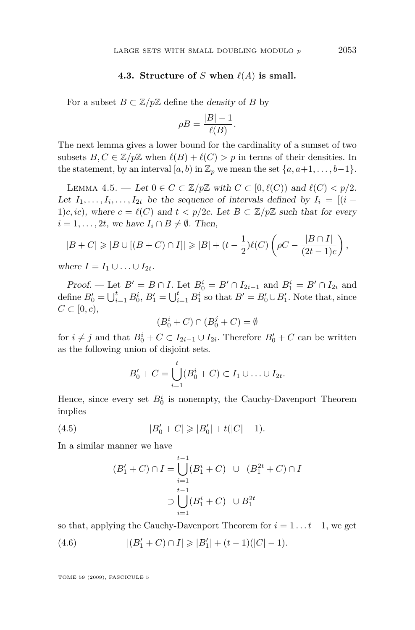#### **4.3. Structure of** *S* when  $\ell(A)$  is small.

<span id="page-11-0"></span>For a subset  $B \subset \mathbb{Z}/p\mathbb{Z}$  define the density of *B* by

$$
\rho B = \frac{|B| - 1}{\ell(B)}.
$$

The next lemma gives a lower bound for the cardinality of a sumset of two subsets  $B, C \in \mathbb{Z}/p\mathbb{Z}$  when  $\ell(B) + \ell(C) > p$  in terms of their densities. In the statement, by an interval  $[a, b)$  in  $\mathbb{Z}_p$  we mean the set  $\{a, a+1, \ldots, b-1\}$ .

LEMMA 4.5. — Let 0 ∈ *C* ⊂ Z/pZ with *C* ⊂ [0,  $\ell$ (*C*)) and  $\ell$ (*C*) < p/2. Let  $I_1, \ldots, I_i, \ldots, I_{2t}$  be the sequence of intervals defined by  $I_i = [(i -$ 1)*c*, *ic*), where  $c = \ell(C)$  and  $t < p/2c$ . Let  $B \subset \mathbb{Z}/p\mathbb{Z}$  such that for every *i* = 1, . . . , 2*t*, we have  $I_i \cap B \neq \emptyset$ . Then,

$$
|B+C| \geq |B \cup [(B+C) \cap I]| \geq |B| + (t-\frac{1}{2})\ell(C)\left(\rho C - \frac{|B \cap I|}{(2t-1)c}\right),
$$

where  $I = I_1 \cup \ldots \cup I_{2t}$ .

*Proof.* — Let  $B' = B \cap I$ . Let  $B_0^i = B' \cap I_{2i-1}$  and  $B_1^i = B' \cap I_{2i}$  and define  $B'_0 = \bigcup_{i=1}^t B_0^i$ ,  $B'_1 = \bigcup_{i=1}^t B_1^i$  so that  $B' = B'_0 \cup B'_1$ . Note that, since  $C \subset [0, c),$ 

$$
(B_0^i + C) \cap (B_0^j + C) = \emptyset
$$

for  $i \neq j$  and that  $B_0^i + C \subset I_{2i-1} \cup I_{2i}$ . Therefore  $B'_0 + C$  can be written as the following union of disjoint sets.

$$
B'_{0} + C = \bigcup_{i=1}^{t} (B_{0}^{i} + C) \subset I_{1} \cup ... \cup I_{2t}.
$$

Hence, since every set  $B_0^i$  is nonempty, the Cauchy-Davenport Theorem implies

(4.5) 
$$
|B'_0 + C| \geq |B'_0| + t(|C| - 1).
$$

In a similar manner we have

$$
(B'_1 + C) \cap I = \bigcup_{i=1}^{t-1} (B_1^i + C) \cup (B_1^{2t} + C) \cap I
$$
  

$$
\supset \bigcup_{i=1}^{t-1} (B_1^i + C) \cup B_1^{2t}
$$

so that, applying the Cauchy-Davenport Theorem for  $i = 1 \ldots t-1$ , we get

(4.6) 
$$
|(B'_1+C)\cap I|\geq |B'_1|+(t-1)(|C|-1).
$$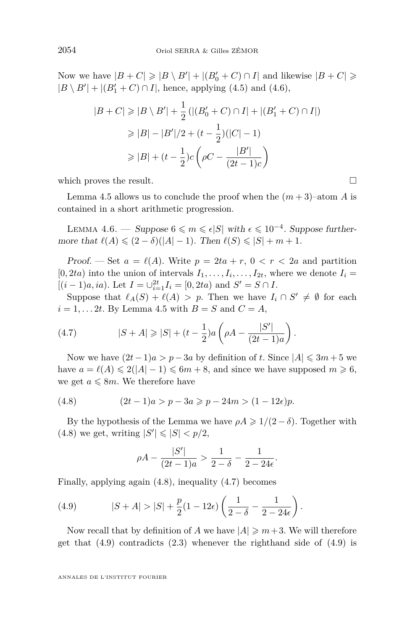<span id="page-12-0"></span>Now we have  $|B + C| \geqslant |B \setminus B'| + |(B'_0 + C) \cap I|$  and likewise  $|B + C| \geqslant$  $|B \setminus B'| + |(B'_1 + C) \cap I|$ , hence, applying [\(4.5\)](#page-11-0) and [\(4.6\)](#page-11-0),

$$
|B + C| \ge |B \setminus B'| + \frac{1}{2} (|(B'_0 + C) \cap I| + |(B'_1 + C) \cap I|)
$$
  
\n
$$
\ge |B| - |B'|/2 + (t - \frac{1}{2})(|C| - 1)
$$
  
\n
$$
\ge |B| + (t - \frac{1}{2})c \left(\rho C - \frac{|B'|}{(2t - 1)c}\right)
$$

which proves the result.  $\Box$ 

Lemma [4.5](#page-11-0) allows us to conclude the proof when the  $(m+3)$ –atom A is contained in a short arithmetic progression.

LEMMA 4.6. — Suppose  $6 \leq m \leq \epsilon |S|$  with  $\epsilon \leq 10^{-4}$ . Suppose furthermore that  $\ell(A) \leq (2 - \delta)(|A| - 1)$ . Then  $\ell(S) \leq |S| + m + 1$ .

Proof. — Set  $a = \ell(A)$ . Write  $p = 2ta + r$ ,  $0 < r < 2a$  and partition  $[0, 2ta)$  into the union of intervals  $I_1, \ldots, I_i, \ldots, I_{2t}$ , where we denote  $I_i =$  $[(i-1)a, ia)$ . Let  $I = \bigcup_{i=1}^{2t} I_i = [0, 2ta)$  and  $S' = S \cap I$ .

Suppose that  $\ell_A(S) + \ell(A) > p$ . Then we have  $I_i \cap S' \neq \emptyset$  for each  $i = 1, \ldots 2t$ . By Lemma [4.5](#page-11-0) with  $B = S$  and  $C = A$ ,

(4.7) 
$$
|S + A| \geq |S| + (t - \frac{1}{2})a\left(\rho A - \frac{|S'|}{(2t - 1)a}\right).
$$

Now we have  $(2t - 1)a > p - 3a$  by definition of *t*. Since  $|A| \leq 3m + 5$  we have  $a = \ell(A) \leqslant 2(|A| - 1) \leqslant 6m + 8$ , and since we have supposed  $m \geqslant 6$ , we get  $a \leq 8m$ . We therefore have

(4.8) 
$$
(2t-1)a > p - 3a \ge p - 24m > (1 - 12\epsilon)p.
$$

By the hypothesis of the Lemma we have  $\rho A \geq 1/(2 - \delta)$ . Together with  $(4.8)$  we get, writing  $|S'| \leq |S| < p/2$ ,

$$
\rho A - \frac{|S'|}{(2t - 1)a} > \frac{1}{2 - \delta} - \frac{1}{2 - 24\epsilon}.
$$

Finally, applying again (4.8), inequality (4.7) becomes

(4.9) 
$$
|S+A| > |S| + \frac{p}{2}(1-12\epsilon)\left(\frac{1}{2-\delta} - \frac{1}{2-24\epsilon}\right).
$$

Now recall that by definition of *A* we have  $|A| \geq m+3$ . We will therefore get that (4.9) contradicts [\(2.3\)](#page-5-0) whenever the righthand side of (4.9) is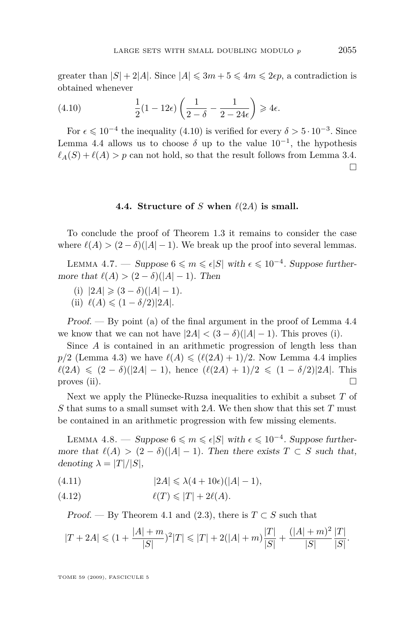<span id="page-13-0"></span>greater than  $|S| + 2|A|$ . Since  $|A| \leq 3m + 5 \leq 4m \leq 2\epsilon p$ , a contradiction is obtained whenever

(4.10) 
$$
\frac{1}{2}(1-12\epsilon)\left(\frac{1}{2-\delta}-\frac{1}{2-24\epsilon}\right) \geq 4\epsilon.
$$

For  $\epsilon \leq 10^{-4}$  the inequality (4.10) is verified for every  $\delta > 5 \cdot 10^{-3}$ . Since Lemma [4.4](#page-10-0) allows us to choose  $\delta$  up to the value  $10^{-1}$ , the hypothesis  $\ell_A(S) + \ell(A) > p$  can not hold, so that the result follows from Lemma [3.4.](#page-6-0)  $\Box$ 

#### **4.4. Structure of** *S* when  $\ell(2A)$  is small.

To conclude the proof of Theorem [1.3](#page-3-0) it remains to consider the case where  $\ell(A) > (2 - \delta)(|A| - 1)$ . We break up the proof into several lemmas.

LEMMA 4.7. — Suppose  $6 \leq m \leq \epsilon |S|$  with  $\epsilon \leq 10^{-4}$ . Suppose furthermore that  $\ell(A) > (2 - \delta)(|A| - 1)$ . Then

- (i)  $|2A|$  ≥  $(3 \delta)(|A| 1)$ .
- $(iii) \ell(A) \leq (1 \delta/2)|2A|$ .

Proof. — By point (a) of the final argument in the proof of Lemma [4.4](#page-10-0) we know that we can not have  $|2A| < (3 - \delta)(|A| - 1)$ . This proves (i).

Since *A* is contained in an arithmetic progression of length less than  $p/2$  (Lemma [4.3\)](#page-9-0) we have  $\ell(A) \leqslant (\ell(2A) + 1)/2$ . Now Lemma [4.4](#page-10-0) implies  $\ell(2A) \leq (2 - \delta)(|2A| - 1)$ , hence  $(\ell(2A) + 1)/2 \leq (1 - \delta/2)|2A|$ . This proves (ii).  $\Box$ 

Next we apply the Plünecke-Ruzsa inequalities to exhibit a subset *T* of *S* that sums to a small sumset with 2*A*. We then show that this set *T* must be contained in an arithmetic progression with few missing elements.

LEMMA 4.8. — Suppose  $6 \leq m \leq \epsilon |S|$  with  $\epsilon \leq 10^{-4}$ . Suppose furthermore that  $\ell(A) > (2 - \delta)(|A| - 1)$ . Then there exists  $T \subset S$  such that, denoting  $\lambda = |T|/|S|$ ,

$$
(4.11) \qquad \qquad |2A| \leq \lambda (4+10\epsilon)(|A|-1),
$$

$$
(4.12) \quad \ell(T) \leqslant |T| + 2\ell(A).
$$

Proof. — By Theorem [4.1](#page-7-0) and [\(2.3\)](#page-5-0), there is  $T \subset S$  such that

$$
|T + 2A| \le (1 + \frac{|A| + m}{|S|})^2 |T| \le |T| + 2(|A| + m) \frac{|T|}{|S|} + \frac{(|A| + m)^2}{|S|} \frac{|T|}{|S|}.
$$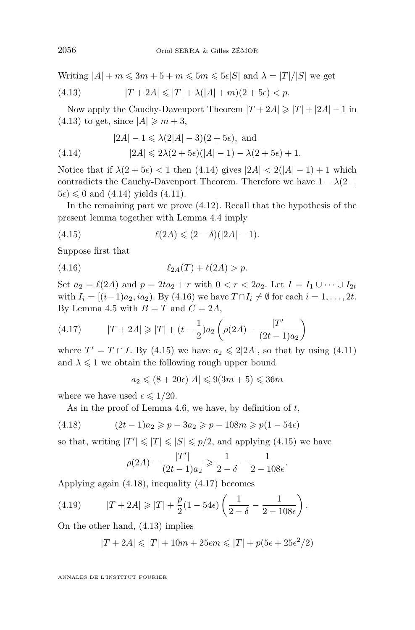<span id="page-14-0"></span>Writing  $|A| + m \leq 3m + 5 + m \leq 5m \leq 5\epsilon |S|$  and  $\lambda = |T|/|S|$  we get

(4.13) 
$$
|T + 2A| \le |T| + \lambda(|A| + m)(2 + 5\epsilon) < p.
$$

Now apply the Cauchy-Davenport Theorem  $|T + 2A| \ge |T| + |2A| - 1$  in  $(4.13)$  to get, since  $|A| \geq m+3$ ,

$$
|2A| - 1 \le \lambda(2|A| - 3)(2 + 5\epsilon), \text{ and}
$$

(4.14) 
$$
|2A| \leq 2\lambda(2+5\epsilon)(|A|-1) - \lambda(2+5\epsilon) + 1.
$$

Notice that if  $\lambda(2 + 5\epsilon) < 1$  then (4.14) gives  $|2A| < 2(|A| - 1) + 1$  which contradicts the Cauchy-Davenport Theorem. Therefore we have  $1 - \lambda(2 + \lambda)$  $5\epsilon$ )  $\leq 0$  and (4.14) yields [\(4.11\)](#page-13-0).

In the remaining part we prove [\(4.12\)](#page-13-0). Recall that the hypothesis of the present lemma together with Lemma [4.4](#page-10-0) imply

(4.15) 
$$
\ell(2A) \leq (2 - \delta)(|2A| - 1).
$$

Suppose first that

(4.16) 
$$
\ell_{2A}(T) + \ell(2A) > p.
$$

Set  $a_2 = \ell(2A)$  and  $p = 2ta_2 + r$  with  $0 < r < 2a_2$ . Let  $I = I_1 \cup \cdots \cup I_{2t}$ with  $I_i = [(i-1)a_2, ia_2)$ . By (4.16) we have  $T ∩ I_i \neq \emptyset$  for each  $i = 1, ..., 2t$ . By Lemma [4.5](#page-11-0) with  $B = T$  and  $C = 2A$ ,

(4.17) 
$$
|T + 2A| \geq |T| + (t - \frac{1}{2})a_2 \left( \rho(2A) - \frac{|T'|}{(2t - 1)a_2} \right)
$$

where  $T' = T \cap I$ . By (4.15) we have  $a_2 \leq 2|2A|$ , so that by using [\(4.11\)](#page-13-0) and  $\lambda \leq 1$  we obtain the following rough upper bound

 $a_2 \le (8 + 20\epsilon)|A| \le 9(3m + 5) \le 36m$ 

where we have used  $\epsilon \leq 1/20$ .

As in the proof of Lemma [4.6,](#page-12-0) we have, by definition of *t*,

(4.18) 
$$
(2t-1)a_2 \geqslant p - 3a_2 \geqslant p - 108m \geqslant p(1 - 54\epsilon)
$$

so that, writing  $|T'| \leq |T| \leq |S| \leq p/2$ , and applying (4.15) we have

$$
\rho(2A) - \frac{|T'|}{(2t-1)a_2} \geqslant \frac{1}{2-\delta} - \frac{1}{2-108\epsilon}.
$$

Applying again (4.18), inequality (4.17) becomes

(4.19) 
$$
|T + 2A| \ge |T| + \frac{p}{2}(1 - 54\epsilon) \left(\frac{1}{2 - \delta} - \frac{1}{2 - 108\epsilon}\right).
$$

On the other hand, (4.13) implies

$$
|T + 2A| \leq |T| + 10m + 25\epsilon m \leq |T| + p(5\epsilon + 25\epsilon^2/2)
$$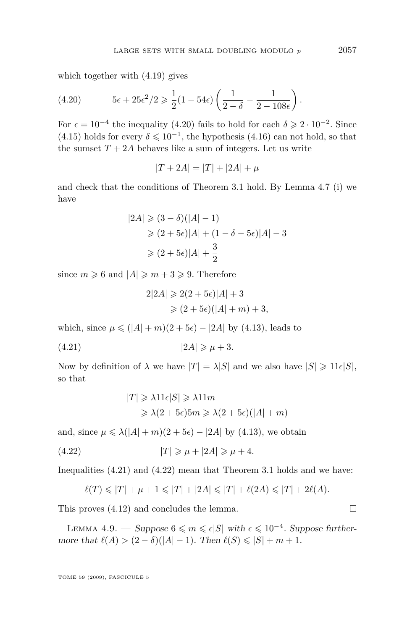which together with [\(4.19\)](#page-14-0) gives

(4.20) 
$$
5\epsilon + 25\epsilon^2/2 \geq \frac{1}{2}(1 - 54\epsilon)\left(\frac{1}{2 - \delta} - \frac{1}{2 - 108\epsilon}\right).
$$

For  $\epsilon = 10^{-4}$  the inequality (4.20) fails to hold for each  $\delta \geq 2 \cdot 10^{-2}$ . Since [\(4.15\)](#page-14-0) holds for every  $\delta \leq 10^{-1}$ , the hypothesis [\(4.16\)](#page-14-0) can not hold, so that the sumset  $T + 2A$  behaves like a sum of integers. Let us write

$$
|T + 2A| = |T| + |2A| + \mu
$$

and check that the conditions of Theorem [3.1](#page-5-0) hold. By Lemma [4.7](#page-13-0) (i) we have

$$
|2A| \geq (3 - \delta)(|A| - 1)
$$
  
\n
$$
\geq (2 + 5\epsilon)|A| + (1 - \delta - 5\epsilon)|A| - 3
$$
  
\n
$$
\geq (2 + 5\epsilon)|A| + \frac{3}{2}
$$

since  $m \geq 6$  and  $|A| \geq m+3 \geq 9$ . Therefore

$$
2|2A| \geqslant 2(2+5\epsilon)|A|+3
$$
  
\n
$$
\geqslant (2+5\epsilon)(|A|+m)+3,
$$

which, since  $\mu \leq (|A| + m)(2 + 5\epsilon) - |2A|$  by [\(4.13\)](#page-14-0), leads to

$$
(4.21)\t\t\t |2A| \ge \mu + 3.
$$

Now by definition of  $\lambda$  we have  $|T| = \lambda |S|$  and we also have  $|S| \geq 11 \epsilon |S|$ , so that

$$
|T| \ge \lambda 11\epsilon |S| \ge \lambda 11m
$$
  

$$
\ge \lambda (2 + 5\epsilon) 5m \ge \lambda (2 + 5\epsilon) (|A| + m)
$$

and, since  $\mu \le \lambda(|A| + m)(2 + 5\epsilon) - |2A|$  by [\(4.13\)](#page-14-0), we obtain

$$
(4.22) \t\t |T| \geqslant \mu + |2A| \geqslant \mu + 4.
$$

Inequalities (4.21) and (4.22) mean that Theorem [3.1](#page-5-0) holds and we have:

$$
\ell(T) \leq |T| + \mu + 1 \leq |T| + |2A| \leq |T| + \ell(2A) \leq |T| + 2\ell(A).
$$

This proves  $(4.12)$  and concludes the lemma.

LEMMA 4.9. — Suppose  $6 \leq m \leq \epsilon |S|$  with  $\epsilon \leq 10^{-4}$ . Suppose furthermore that  $\ell(A)$  >  $(2 - \delta)(|A| - 1)$ . Then  $\ell(S) \le |S| + m + 1$ .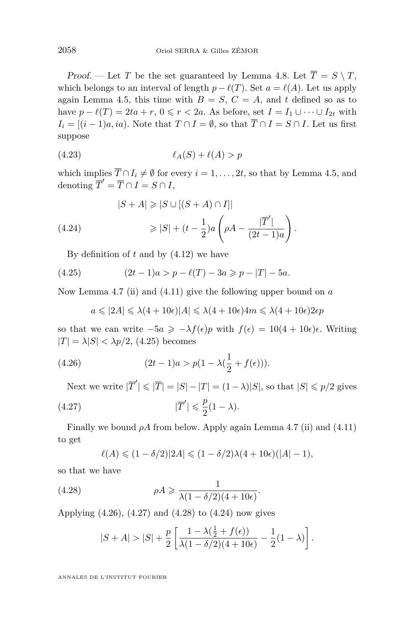<span id="page-16-0"></span>Proof. — Let *T* be the set guaranteed by Lemma [4.8.](#page-13-0) Let  $\overline{T} = S \setminus T$ , which belongs to an interval of length  $p - \ell(T)$ . Set  $a = \ell(A)$ . Let us apply again Lemma [4.5,](#page-11-0) this time with  $B = S$ ,  $C = A$ , and  $t$  defined so as to have  $p - \ell(T) = 2ta + r$ ,  $0 \leq r < 2a$ . As before, set  $I = I_1 \cup \cdots \cup I_{2t}$  with  $I_i = [(i-1)a, ia]$ . Note that  $T \cap I = \emptyset$ , so that  $\overline{T} \cap I = S \cap I$ . Let us first suppose

(4.23) *`A*(*S*) + *`*(*A*) *> p*

which implies  $\overline{T} \cap I_i \neq \emptyset$  for every  $i = 1, \ldots, 2t$ , so that by Lemma [4.5,](#page-11-0) and denoting  $\overline{T}' = \overline{T} \cap I = S \cap I$ ,

(4.24) 
$$
|S + A| \geq |S \cup [(S + A) \cap I]|
$$

$$
\geq |S| + (t - \frac{1}{2})a \left( \rho A - \frac{|\overline{T}'|}{(2t - 1)a} \right).
$$

By definition of *t* and by [\(4.12\)](#page-13-0) we have

(4.25) 
$$
(2t-1)a > p - \ell(T) - 3a \geqslant p - |T| - 5a.
$$

Now Lemma [4.7](#page-13-0) (ii) and [\(4.11\)](#page-13-0) give the following upper bound on *a*

$$
a\leqslant |2A|\leqslant \lambda(4+10\epsilon)|A|\leqslant \lambda(4+10\epsilon)4m\leqslant \lambda(4+10\epsilon)2\epsilon p
$$

so that we can write  $-\overline{5a} \ge -\lambda f(\epsilon)p$  with  $f(\epsilon) = 10(4 + 10\epsilon)\epsilon$ . Writing  $|T| = \lambda |S| < \lambda p/2$ , (4.25) becomes

(4.26) 
$$
(2t-1)a > p(1 - \lambda(\frac{1}{2} + f(\epsilon))).
$$

Next we write  $|\overline{T}'| \leq |\overline{T}| = |S| - |T| = (1 - \lambda)|S|$ , so that  $|S| \leq p/2$  gives

(4.27) 
$$
|\overline{T}'| \leq \frac{p}{2}(1-\lambda).
$$

Finally we bound *ρA* from below. Apply again Lemma [4.7](#page-13-0) (ii) and [\(4.11\)](#page-13-0) to get

$$
\ell(A) \leqslant (1-\delta/2)|2A| \leqslant (1-\delta/2)\lambda(4+10\epsilon)(|A|-1),
$$

so that we have

(4.28) 
$$
\rho A \geqslant \frac{1}{\lambda (1 - \delta/2)(4 + 10\epsilon)}.
$$

Applying (4.26), (4.27) and (4.28) to (4.24) now gives

$$
|S+A|>|S|+\frac{p}{2}\left[\frac{1-\lambda(\frac{1}{2}+f(\epsilon))}{\lambda(1-\delta/2)(4+10\epsilon)}-\frac{1}{2}(1-\lambda)\right].
$$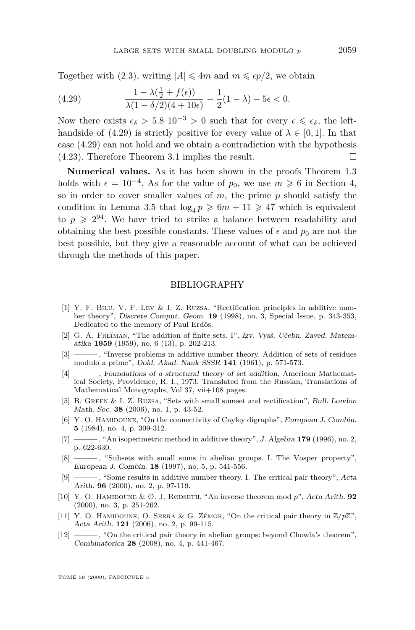<span id="page-17-0"></span>Together with [\(2.3\)](#page-5-0), writing  $|A| \leq 4m$  and  $m \leq \epsilon p/2$ , we obtain

(4.29) 
$$
\frac{1-\lambda(\frac{1}{2}+f(\epsilon))}{\lambda(1-\delta/2)(4+10\epsilon)}-\frac{1}{2}(1-\lambda)-5\epsilon<0.
$$

Now there exists  $\epsilon_{\delta} > 5.8 \cdot 10^{-3} > 0$  such that for every  $\epsilon \leq \epsilon_{\delta}$ , the lefthandside of (4.29) is strictly positive for every value of  $\lambda \in [0,1]$ . In that case (4.29) can not hold and we obtain a contradiction with the hypothesis  $(4.23)$ . Therefore Theorem [3.1](#page-5-0) implies the result.

**Numerical values.** As it has been shown in the proofs Theorem [1.3](#page-3-0) holds with  $\epsilon = 10^{-4}$ . As for the value of  $p_0$ , we use  $m \geq 6$  in Section [4,](#page-7-0) so in order to cover smaller values of *m*, the prime *p* should satisfy the condition in Lemma [3.5](#page-7-0) that  $\log_4 p \geq 6m + 11 \geq 47$  which is equivalent to  $p \geqslant 2^{94}$ . We have tried to strike a balance between readability and obtaining the best possible constants. These values of  $\epsilon$  and  $p_0$  are not the best possible, but they give a reasonable account of what can be achieved through the methods of this paper.

#### BIBLIOGRAPHY

- [1] Y. F. Bilu, V. F. Lev & I. Z. Ruzsa, "Rectification principles in additive number theory", Discrete Comput. Geom. **19** (1998), no. 3, Special Issue, p. 343-353, Dedicated to the memory of Paul Erdős.
- [2] G. A. FREŬMAN, "The addition of finite sets. I", Izv. Vysš. Učebn. Zaved. Matematika **1959** (1959), no. 6 (13), p. 202-213.
- [3] ——— , "Inverse problems in additive number theory. Addition of sets of residues modulo a prime", Dokl. Akad. Nauk SSSR **141** (1961), p. 571-573.
- [4] ——— , Foundations of a structural theory of set addition, American Mathematical Society, Providence, R. I., 1973, Translated from the Russian, Translations of Mathematical Monographs, Vol 37, vii+108 pages.
- [5] B. Green & I. Z. Ruzsa, "Sets with small sumset and rectification", Bull. London Math. Soc. **38** (2006), no. 1, p. 43-52.
- [6] Y. O. HAMIDOUNE, "On the connectivity of Cayley digraphs", European J. Combin. **5** (1984), no. 4, p. 309-312.
- [7] ——— , "An isoperimetric method in additive theory", J. Algebra **179** (1996), no. 2, p. 622-630.
- [8] ——— , "Subsets with small sums in abelian groups. I. The Vosper property", European J. Combin. **18** (1997), no. 5, p. 541-556.
- [9] ——— , "Some results in additive number theory. I. The critical pair theory", Acta Arith. **96** (2000), no. 2, p. 97-119.
- [10] Y. O. Hamidoune & Ø. J. Rødseth, "An inverse theorem mod *p*", Acta Arith. **92** (2000), no. 3, p. 251-262.
- [11] Y. O. HAMIDOUNE, O. SERRA & G. ZÉMOR, "On the critical pair theory in  $\mathbb{Z}/p\mathbb{Z}$ ", Acta Arith. **121** (2006), no. 2, p. 99-115.
- [12] ——— , "On the critical pair theory in abelian groups: beyond Chowla's theorem", Combinatorica **28** (2008), no. 4, p. 441-467.